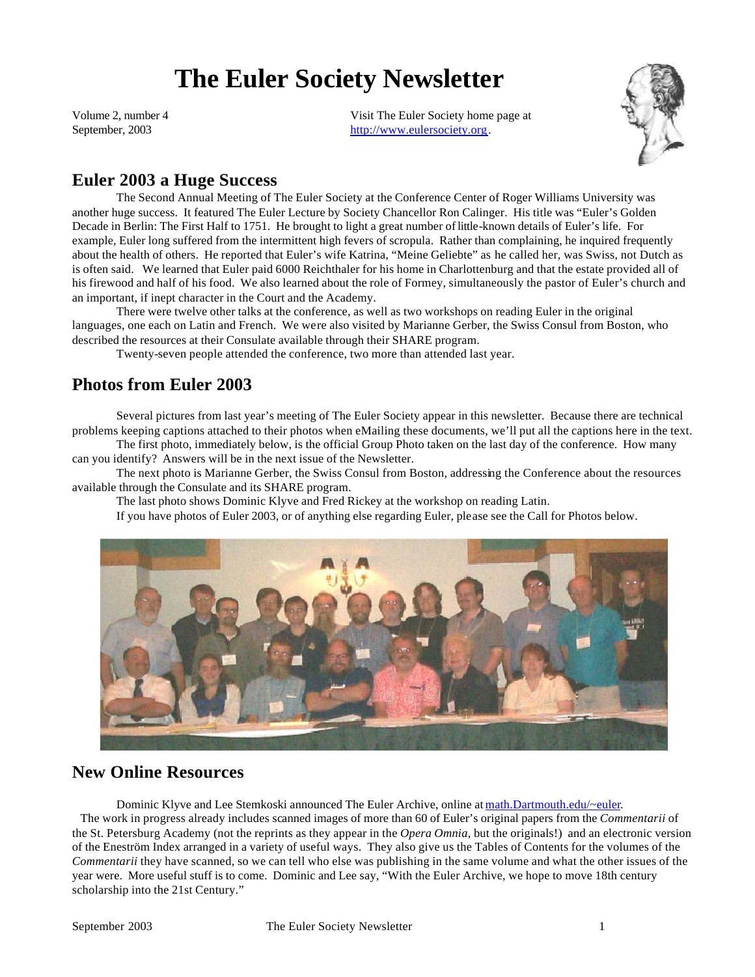# **The Euler Society Newsletter**

Volume 2, number 4 September, 2003

Visit The Euler Society home page at http://www.eulersociety.org.



# **Euler 2003 a Huge Success**

The Second Annual Meeting of The Euler Society at the Conference Center of Roger Williams University was another huge success. It featured The Euler Lecture by Society Chancellor Ron Calinger. His title was "Euler's Golden Decade in Berlin: The First Half to 1751. He brought to light a great number of little-known details of Euler's life. For example, Euler long suffered from the intermittent high fevers of scropula. Rather than complaining, he inquired frequently about the health of others. He reported that Euler's wife Katrina, "Meine Geliebte" as he called her, was Swiss, not Dutch as is often said. We learned that Euler paid 6000 Reichthaler for his home in Charlottenburg and that the estate provided all of his firewood and half of his food. We also learned about the role of Formey, simultaneously the pastor of Euler's church and an important, if inept character in the Court and the Academy.

There were twelve other talks at the conference, as well as two workshops on reading Euler in the original languages, one each on Latin and French. We were also visited by Marianne Gerber, the Swiss Consul from Boston, who described the resources at their Consulate available through their SHARE program.

Twenty-seven people attended the conference, two more than attended last year.

# **Photos from Euler 2003**

Several pictures from last year's meeting of The Euler Society appear in this newsletter. Because there are technical problems keeping captions attached to their photos when eMailing these documents, we'll put all the captions here in the text.

The first photo, immediately below, is the official Group Photo taken on the last day of the conference. How many can you identify? Answers will be in the next issue of the Newsletter.

The next photo is Marianne Gerber, the Swiss Consul from Boston, addressing the Conference about the resources available through the Consulate and its SHARE program.

The last photo shows Dominic Klyve and Fred Rickey at the workshop on reading Latin.

If you have photos of Euler 2003, or of anything else regarding Euler, please see the Call for Photos below.



# **New Online Resources**

Dominic Klyve and Lee Stemkoski announced The Euler Archive, online at math.Dartmouth.edu/~euler.

 The work in progress already includes scanned images of more than 60 of Euler's original papers from the *Commentarii* of the St. Petersburg Academy (not the reprints as they appear in the *Opera Omnia*, but the originals!) and an electronic version of the Eneström Index arranged in a variety of useful ways. They also give us the Tables of Contents for the volumes of the *Commentarii* they have scanned, so we can tell who else was publishing in the same volume and what the other issues of the year were. More useful stuff is to come. Dominic and Lee say, "With the Euler Archive, we hope to move 18th century scholarship into the 21st Century."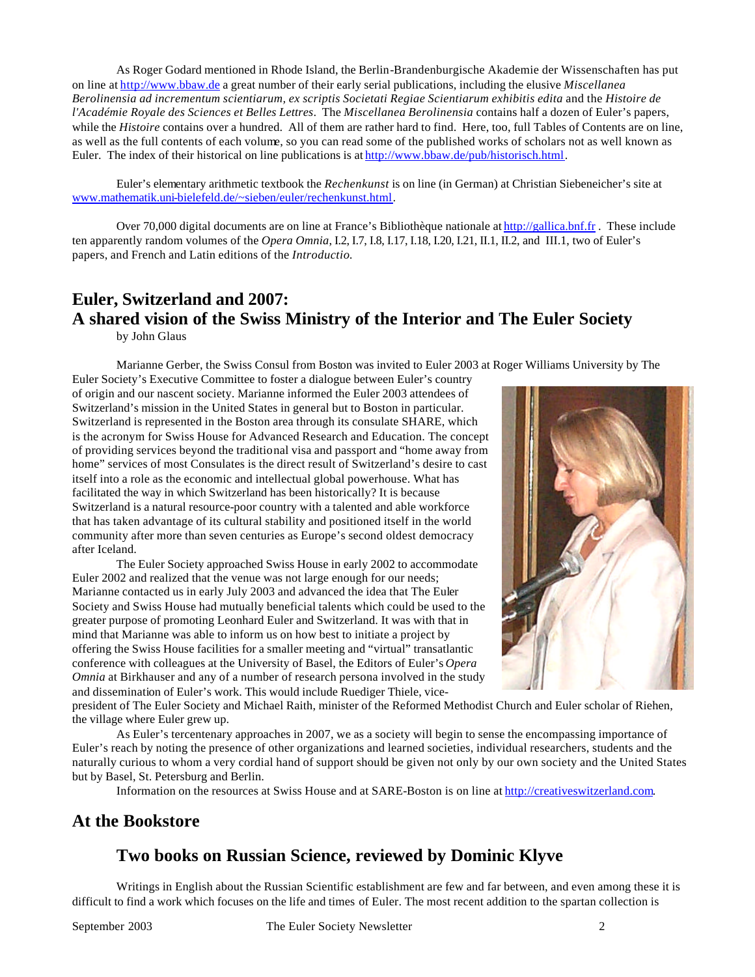As Roger Godard mentioned in Rhode Island, the Berlin-Brandenburgische Akademie der Wissenschaften has put on line at http://www.bbaw.de a great number of their early serial publications, including the elusive *Miscellanea Berolinensia ad incrementum scientiarum, ex scriptis Societati Regiae Scientiarum exhibitis edita* and the *Histoire de l'Académie Royale des Sciences et Belles Lettres*. The *Miscellanea Berolinensia* contains half a dozen of Euler's papers, while the *Histoire* contains over a hundred. All of them are rather hard to find. Here, too, full Tables of Contents are on line, as well as the full contents of each volume, so you can read some of the published works of scholars not as well known as Euler. The index of their historical on line publications is at http://www.bbaw.de/pub/historisch.html.

Euler's elementary arithmetic textbook the *Rechenkunst* is on line (in German) at Christian Siebeneicher's site at www.mathematik.uni-bielefeld.de/~sieben/euler/rechenkunst.html.

Over 70,000 digital documents are on line at France's Bibliothèque nationale at http://gallica.bnf.fr . These include ten apparently random volumes of the *Opera Omnia*, I.2, I.7, I.8, I.17, I.18, I.20, I.21, II.1, II.2, and III.1, two of Euler's papers, and French and Latin editions of the *Introductio.*

# **Euler, Switzerland and 2007: A shared vision of the Swiss Ministry of the Interior and The Euler Society**

by John Glaus

Marianne Gerber, the Swiss Consul from Boston was invited to Euler 2003 at Roger Williams University by The

Euler Society's Executive Committee to foster a dialogue between Euler's country of origin and our nascent society. Marianne informed the Euler 2003 attendees of Switzerland's mission in the United States in general but to Boston in particular. Switzerland is represented in the Boston area through its consulate SHARE, which is the acronym for Swiss House for Advanced Research and Education. The concept of providing services beyond the traditional visa and passport and "home away from home" services of most Consulates is the direct result of Switzerland's desire to cast itself into a role as the economic and intellectual global powerhouse. What has facilitated the way in which Switzerland has been historically? It is because Switzerland is a natural resource-poor country with a talented and able workforce that has taken advantage of its cultural stability and positioned itself in the world community after more than seven centuries as Europe's second oldest democracy after Iceland.

The Euler Society approached Swiss House in early 2002 to accommodate Euler 2002 and realized that the venue was not large enough for our needs; Marianne contacted us in early July 2003 and advanced the idea that The Euler Society and Swiss House had mutually beneficial talents which could be used to the greater purpose of promoting Leonhard Euler and Switzerland. It was with that in mind that Marianne was able to inform us on how best to initiate a project by offering the Swiss House facilities for a smaller meeting and "virtual" transatlantic conference with colleagues at the University of Basel, the Editors of Euler's *Opera Omnia* at Birkhauser and any of a number of research persona involved in the study and dissemination of Euler's work. This would include Ruediger Thiele, vice-



president of The Euler Society and Michael Raith, minister of the Reformed Methodist Church and Euler scholar of Riehen, the village where Euler grew up.

As Euler's tercentenary approaches in 2007, we as a society will begin to sense the encompassing importance of Euler's reach by noting the presence of other organizations and learned societies, individual researchers, students and the naturally curious to whom a very cordial hand of support should be given not only by our own society and the United States but by Basel, St. Petersburg and Berlin.

Information on the resources at Swiss House and at SARE-Boston is on line at http://creativeswitzerland.com.

# **At the Bookstore**

# **Two books on Russian Science, reviewed by Dominic Klyve**

Writings in English about the Russian Scientific establishment are few and far between, and even among these it is difficult to find a work which focuses on the life and times of Euler. The most recent addition to the spartan collection is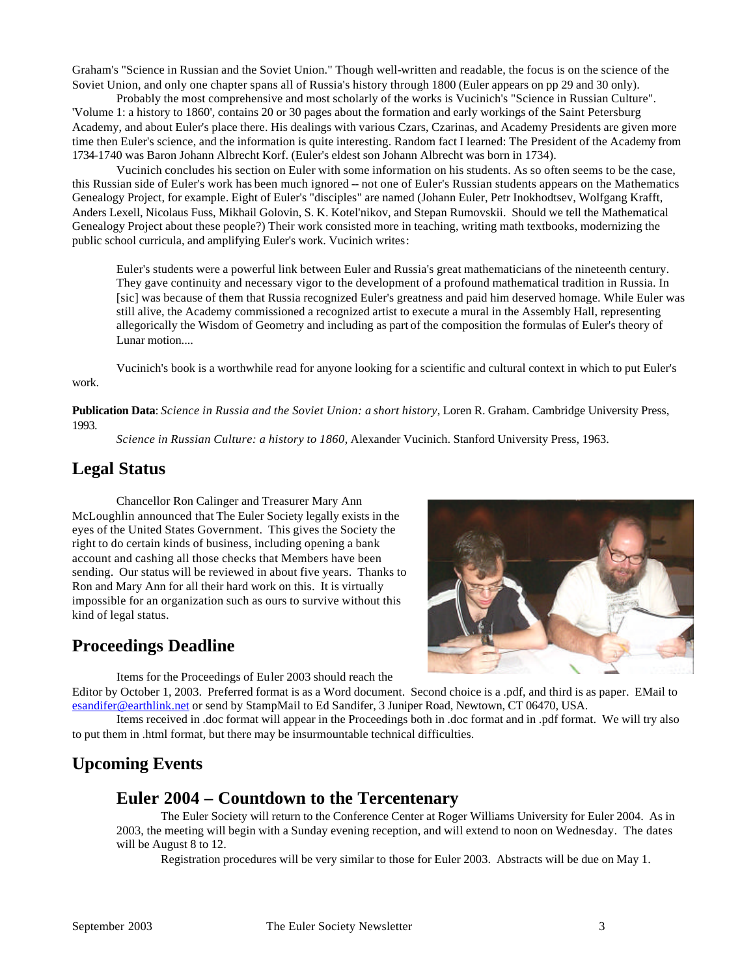Graham's "Science in Russian and the Soviet Union." Though well-written and readable, the focus is on the science of the Soviet Union, and only one chapter spans all of Russia's history through 1800 (Euler appears on pp 29 and 30 only).

Probably the most comprehensive and most scholarly of the works is Vucinich's "Science in Russian Culture". 'Volume 1: a history to 1860', contains 20 or 30 pages about the formation and early workings of the Saint Petersburg Academy, and about Euler's place there. His dealings with various Czars, Czarinas, and Academy Presidents are given more time then Euler's science, and the information is quite interesting. Random fact I learned: The President of the Academy from 1734-1740 was Baron Johann Albrecht Korf. (Euler's eldest son Johann Albrecht was born in 1734).

Vucinich concludes his section on Euler with some information on his students. As so often seems to be the case, this Russian side of Euler's work has been much ignored -- not one of Euler's Russian students appears on the Mathematics Genealogy Project, for example. Eight of Euler's "disciples" are named (Johann Euler, Petr Inokhodtsev, Wolfgang Krafft, Anders Lexell, Nicolaus Fuss, Mikhail Golovin, S. K. Kotel'nikov, and Stepan Rumovskii. Should we tell the Mathematical Genealogy Project about these people?) Their work consisted more in teaching, writing math textbooks, modernizing the public school curricula, and amplifying Euler's work. Vucinich writes:

Euler's students were a powerful link between Euler and Russia's great mathematicians of the nineteenth century. They gave continuity and necessary vigor to the development of a profound mathematical tradition in Russia. In [sic] was because of them that Russia recognized Euler's greatness and paid him deserved homage. While Euler was still alive, the Academy commissioned a recognized artist to execute a mural in the Assembly Hall, representing allegorically the Wisdom of Geometry and including as part of the composition the formulas of Euler's theory of Lunar motion....

Vucinich's book is a worthwhile read for anyone looking for a scientific and cultural context in which to put Euler's work.

**Publication Data**: *Science in Russia and the Soviet Union: a short history*, Loren R. Graham. Cambridge University Press, 1993.

*Science in Russian Culture: a history to 1860*, Alexander Vucinich. Stanford University Press, 1963.

# **Legal Status**

Chancellor Ron Calinger and Treasurer Mary Ann McLoughlin announced that The Euler Society legally exists in the eyes of the United States Government. This gives the Society the right to do certain kinds of business, including opening a bank account and cashing all those checks that Members have been sending. Our status will be reviewed in about five years. Thanks to Ron and Mary Ann for all their hard work on this. It is virtually impossible for an organization such as ours to survive without this kind of legal status.

# **Proceedings Deadline**



Items for the Proceedings of Euler 2003 should reach the

Editor by October 1, 2003. Preferred format is as a Word document. Second choice is a .pdf, and third is as paper. EMail to esandifer@earthlink.net or send by StampMail to Ed Sandifer, 3 Juniper Road, Newtown, CT 06470, USA.

Items received in .doc format will appear in the Proceedings both in .doc format and in .pdf format. We will try also to put them in .html format, but there may be insurmountable technical difficulties.

# **Upcoming Events**

# **Euler 2004 – Countdown to the Tercentenary**

The Euler Society will return to the Conference Center at Roger Williams University for Euler 2004. As in 2003, the meeting will begin with a Sunday evening reception, and will extend to noon on Wednesday. The dates will be August 8 to 12.

Registration procedures will be very similar to those for Euler 2003. Abstracts will be due on May 1.